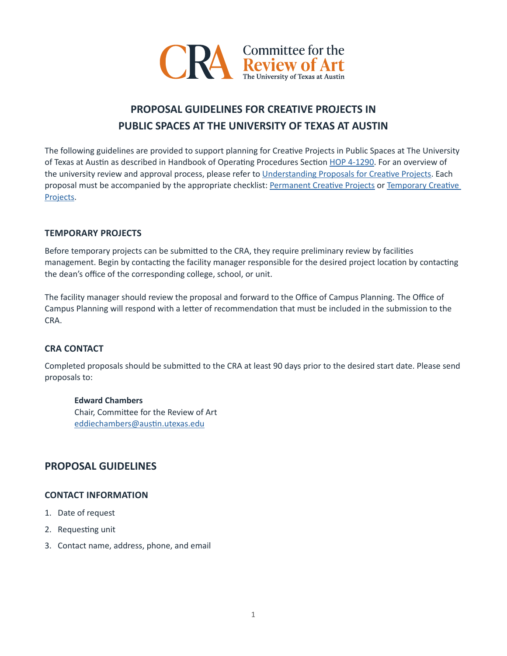

# **PROPOSAL GUIDELINES FOR CREATIVE PROJECTS IN PUBLIC SPACES AT THE UNIVERSITY OF TEXAS AT AUSTIN**

The following guidelines are provided to support planning for Creatve Projects in Public Spaces at The University of Texas at Austin as described in Handbook of Operating Procedures Section [HOP 4-1290.](https://policies.utexas.edu/policies/art-public-spaces) For an overview of the university review and approval process, please refer to Understanding Proposals for Creative Projects. Each proposal must be accompanied by the appropriate checklist: Permanent Creative Projects or Temporary Creative [Projects](https://landmarks.utexas.edu/sites/default/files/cra_policy_temp-project-checklist.pdf).

# **TEMPORARY PROJECTS**

Before temporary projects can be submited to the CRA, they require preliminary review by facilites management. Begin by contacting the facility manager responsible for the desired project location by contacting the dean's office of the corresponding college, school, or unit.

The facility manager should review the proposal and forward to the Office of Campus Planning. The Office of Campus Planning will respond with a letter of recommendation that must be included in the submission to the CRA.

# **CRA CONTACT**

Completed proposals should be submited to the CRA at least 90 days prior to the desired start date. Please send proposals to:

#### **Edward Chambers**

Chair, Commitee for the Review of Art eddiechambers@austin.utexas.edu

# **PROPOSAL GUIDELINES**

#### **CONTACT INFORMATION**

- 1. Date of request
- 2. Requesting unit
- 3. Contact name, address, phone, and email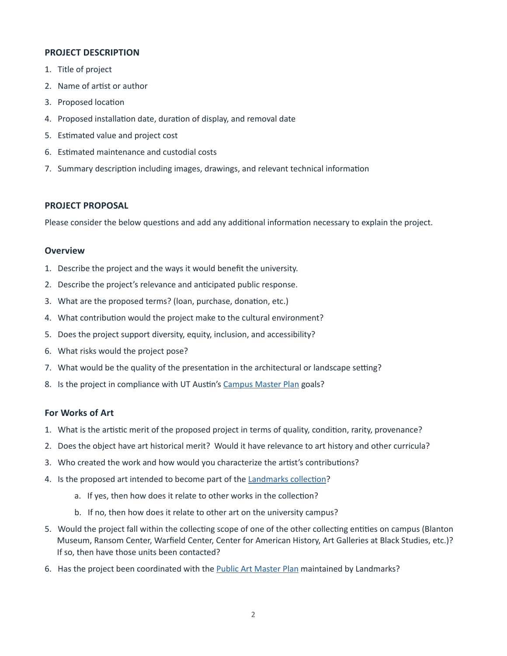# **PROJECT DESCRIPTION**

- 1. Title of project
- 2. Name of artist or author
- 3. Proposed location
- 4. Proposed installation date, duration of display, and removal date
- 5. Estmated value and project cost
- 6. Estmated maintenance and custodial costs
- 7. Summary descripton including images, drawings, and relevant technical informaton

#### **PROJECT PROPOSAL**

Please consider the below questions and add any additional information necessary to explain the project.

#### **Overview**

- 1. Describe the project and the ways it would beneft the university.
- 2. Describe the project's relevance and anticipated public response.
- 3. What are the proposed terms? (loan, purchase, donation, etc.)
- 4. What contribution would the project make to the cultural environment?
- 5. Does the project support diversity, equity, inclusion, and accessibility?
- 6. What risks would the project pose?
- 7. What would be the quality of the presentation in the architectural or landscape setting?
- 8. Is the project in compliance with UT Austin's [Campus Master Plan](https://capitalplanning.utexas.edu/about/campus-master-plan) goals?

#### **For Works of Art**

- 1. What is the artistic merit of the proposed project in terms of quality, condition, rarity, provenance?
- 2. Does the object have art historical merit? Would it have relevance to art history and other curricula?
- 3. Who created the work and how would you characterize the artst's contributons?
- 4. Is the proposed art intended to become part of the Landmarks collection?
	- a. If yes, then how does it relate to other works in the collection?
	- b. If no, then how does it relate to other art on the university campus?
- 5. Would the project fall within the collecting scope of one of the other collecting entities on campus (Blanton Museum, Ransom Center, Warfeld Center, Center for American History, Art Galleries at Black Studies, etc.)? If so, then have those units been contacted?
- 6. Has the project been coordinated with the [Public Art Master Plan](http://landmarks.utexas.edu/faq#n242) maintained by Landmarks?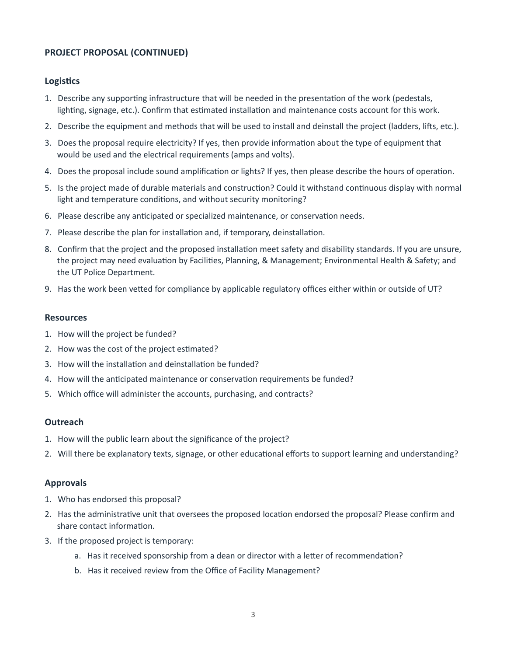# **PROJECT PROPOSAL (CONTINUED)**

# **Logistics**

- 1. Describe any supportng infrastructure that will be needed in the presentaton of the work (pedestals, lighting, signage, etc.). Confirm that estimated installation and maintenance costs account for this work.
- 2. Describe the equipment and methods that will be used to install and deinstall the project (ladders, lifts, etc.).
- 3. Does the proposal require electricity? If yes, then provide informaton about the type of equipment that would be used and the electrical requirements (amps and volts).
- 4. Does the proposal include sound amplifcaton or lights? If yes, then please describe the hours of operaton.
- 5. Is the project made of durable materials and constructon? Could it withstand contnuous display with normal light and temperature conditons, and without security monitoring?
- 6. Please describe any antcipated or specialized maintenance, or conservaton needs.
- 7. Please describe the plan for installation and, if temporary, deinstallation.
- 8. Confrm that the project and the proposed installaton meet safety and disability standards. If you are unsure, the project may need evaluation by Facilities, Planning, & Management; Environmental Health & Safety; and the UT Police Department.
- 9. Has the work been vetted for compliance by applicable regulatory offices either within or outside of UT?

#### **Resources**

- 1. How will the project be funded?
- 2. How was the cost of the project estmated?
- 3. How will the installation and deinstallation be funded?
- 4. How will the anticipated maintenance or conservation requirements be funded?
- 5. Which office will administer the accounts, purchasing, and contracts?

#### **Outreach**

- 1. How will the public learn about the signifcance of the project?
- 2. Will there be explanatory texts, signage, or other educational efforts to support learning and understanding?

#### **Approvals**

- 1. Who has endorsed this proposal?
- 2. Has the administratve unit that oversees the proposed locaton endorsed the proposal? Please confrm and share contact information.
- 3. If the proposed project is temporary:
	- a. Has it received sponsorship from a dean or director with a letter of recommendation?
	- b. Has it received review from the Office of Facility Management?